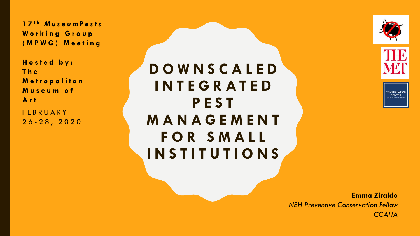**1 7 t h** *M u s e u m P e s t s* **Working Group ( M P W G ) M e e t i n g**

**H o s t e d b y : T h e M e t r o p o l i t a n M u s e u m o f A r t FEBRUARY** 2 6 - 2 8 , 2 0 2 0

**D O W N S C A L E D I N T E G R A T E D P E S T M A N A G E M E N T F O R S M A L L I N S T I T U T I O N S**





CONSERVATIO

**Emma Ziraldo**  *NEH Preventive Conservation Fellow CCAHA*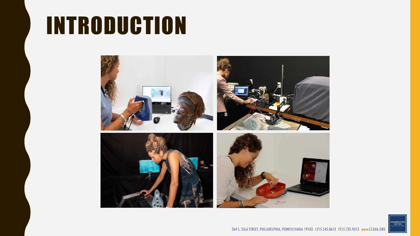# INTRODUCTION



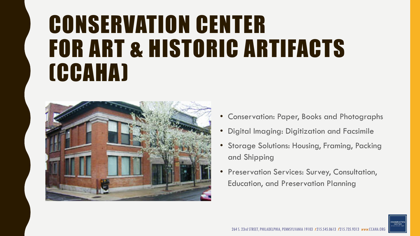# CONSERVATION CENTER FOR ART & HISTORIC ARTIFACTS (CCAHA)



- Conservation: Paper, Books and Photographs
- Digital Imaging: Digitization and Facsimile
- Storage Solutions: Housing, Framing, Packing and Shipping
- Preservation Services: Survey, Consultation, Education, and Preservation Planning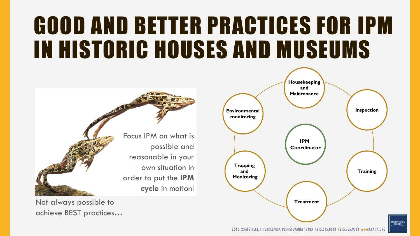# GOOD AND BETTER PRACTICES FOR IPM IN HISTORIC HOUSES AND MUSEUMS



Not always possible to achieve BEST practices…

**Housekeeping and Maintenance Inspection Environmental monitoring IPM Coordinator Trapping Training and Monitoring Treatment** ONSERVATIO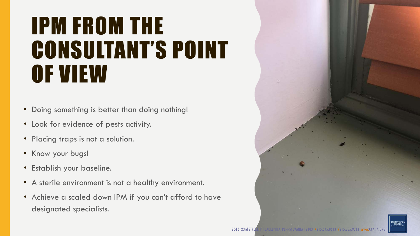### IPM FROM THE CONSULTANT'S POINT OF VIEW

- Doing something is better than doing nothing!
- Look for evidence of pests activity.
- Placing traps is not a solution.
- Know your bugs!
- Establish your baseline.
- A sterile environment is not a healthy environment.
- Achieve a scaled down IPM if you can't afford to have designated specialists.

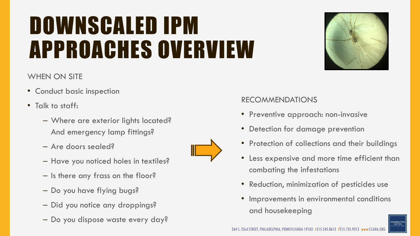# DOWNSCALED IPM APPROACHES OVERVIEW



#### WHEN ON SITE

- Conduct basic inspection
- Talk to staff:
	- Where are exterior lights located? And emergency lamp fittings?
	- Are doors sealed?
	- Have you noticed holes in textiles?
	- Is there any frass on the floor?
	- Do you have flying bugs?
	- Did you notice any droppings?
	- Do you dispose waste every day?



#### RECOMMENDATIONS

- Preventive approach: non-invasive
- Detection for damage prevention
- Protection of collections and their buildings
- Less expensive and more time efficient than combating the infestations
- Reduction, minimization of pesticides use
- Improvements in environmental conditions and housekeeping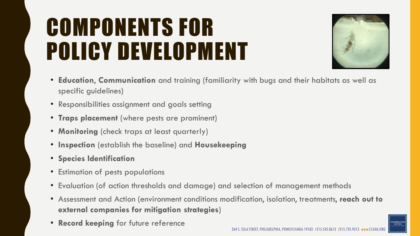# COMPONENTS FOR POLICY DEVELOPMENT



- **Education**, **Communication** and training (familiarity with bugs and their habitats as well as specific guidelines)
- Responsibilities assignment and goals setting
- **Traps placement** (where pests are prominent)
- **Monitoring** (check traps at least quarterly)
- **Inspection** (establish the baseline) and **Housekeeping**
- **Species Identification**
- Estimation of pests populations
- Evaluation (of action thresholds and damage) and selection of management methods
- Assessment and Action (environment conditions modification, isolation, treatments, **reach out to external companies for mitigation strategies**)
- **Record keeping** for future reference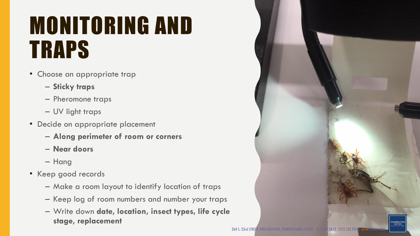# MONITORING AND TRAPS

- Choose an appropriate trap
	- **Sticky traps**
	- Pheromone traps
	- UV light traps
- Decide on appropriate placement
	- **Along perimeter of room or corners**
	- **Near doors**
	- Hang
- Keep good records
	- Make a room layout to identify location of traps
	- Keep log of room numbers and number your traps
	- Write down **date, location, insect types, life cycle stage, replacement**

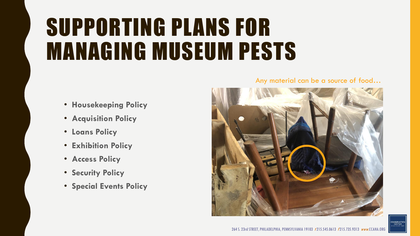# SUPPORTING PLANS FOR MANAGING MUSEUM PESTS

- **Housekeeping Policy**
- **Acquisition Policy**
- **Loans Policy**
- **Exhibition Policy**
- **Access Policy**
- **Security Policy**
- **Special Events Policy**

#### Any material can be a source of food…



CONSERVATION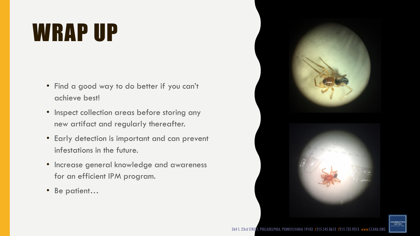# WRAP UP

- Find a good way to do better if you can't achieve best!
- Inspect collection areas before storing any new artifact and regularly thereafter.
- Early detection is important and can prevent infestations in the future.
- Increase general knowledge and awareness for an efficient IPM program.
- Be patient…

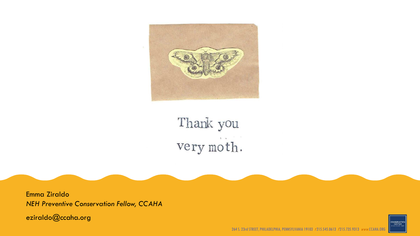

#### Thank you very moth.

Emma Ziraldo *NEH Preventive Conservation Fellow, CCAHA*

eziraldo@ccaha.org



264 S. 23rd STREET, PHILADELPHIA, PENNSYLVANIA 19103 t215.545.0613 f215.735.9313 www.CCAHA.ORG